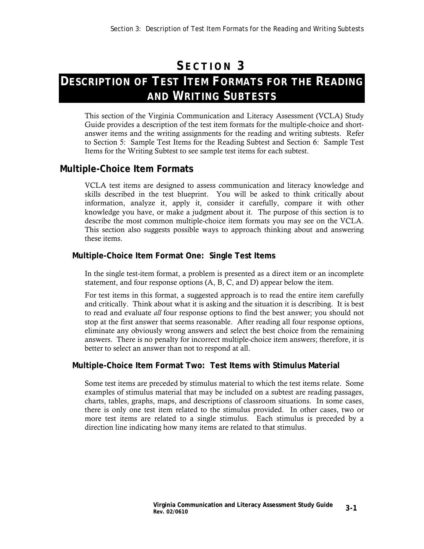## **S ECTION 3**

# **DESCRIPTION OF TEST ITEM FORMATS FOR THE READING AND WRITING SUBTESTS**

This section of the Virginia Communication and Literacy Assessment (VCLA) Study Guide provides a description of the test item formats for the multiple-choice and shortanswer items and the writing assignments for the reading and writing subtests. Refer to Section 5: Sample Test Items for the Reading Subtest and Section 6: Sample Test Items for the Writing Subtest to see sample test items for each subtest.

## **Multiple-Choice Item Formats**

VCLA test items are designed to assess communication and literacy knowledge and skills described in the test blueprint. You will be asked to think critically about information, analyze it, apply it, consider it carefully, compare it with other knowledge you have, or make a judgment about it. The purpose of this section is to describe the most common multiple-choice item formats you may see on the VCLA. This section also suggests possible ways to approach thinking about and answering these items.

#### **Multiple-Choice Item Format One: Single Test Items**

In the single test-item format, a problem is presented as a direct item or an incomplete statement, and four response options (A, B, C, and D) appear below the item.

For test items in this format, a suggested approach is to read the entire item carefully and critically. Think about what it is asking and the situation it is describing. It is best to read and evaluate *all* four response options to find the best answer; you should not stop at the first answer that seems reasonable. After reading all four response options, eliminate any obviously wrong answers and select the best choice from the remaining answers. There is no penalty for incorrect multiple-choice item answers; therefore, it is better to select an answer than not to respond at all.

#### **Multiple-Choice Item Format Two: Test Items with Stimulus Material**

Some test items are preceded by stimulus material to which the test items relate. Some examples of stimulus material that may be included on a subtest are reading passages, charts, tables, graphs, maps, and descriptions of classroom situations. In some cases, there is only one test item related to the stimulus provided. In other cases, two or more test items are related to a single stimulus. Each stimulus is preceded by a direction line indicating how many items are related to that stimulus.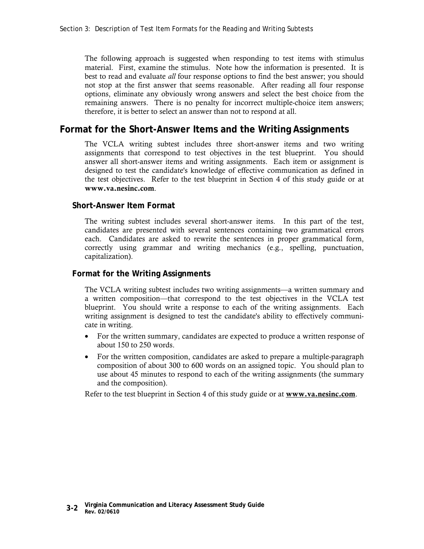The following approach is suggested when responding to test items with stimulus material. First, examine the stimulus. Note how the information is presented. It is best to read and evaluate *all* four response options to find the best answer; you should not stop at the first answer that seems reasonable. After reading all four response options, eliminate any obviously wrong answers and select the best choice from the remaining answers. There is no penalty for incorrect multiple-choice item answers; therefore, it is better to select an answer than not to respond at all.

### **Format for the Short-Answer Items and the Writing Assignments**

The VCLA writing subtest includes three short-answer items and two writing assignments that correspond to test objectives in the test blueprint. You should answer all short-answer items and writing assignments. Each item or assignment is designed to test the candidate's knowledge of effective communication as defined in the test objectives. Refer to the test blueprint in Section 4 of this study guide or at **www.va.nesinc.com**.

#### **Short-Answer Item Format**

The writing subtest includes several short-answer items. In this part of the test, candidates are presented with several sentences containing two grammatical errors each. Candidates are asked to rewrite the sentences in proper grammatical form, correctly using grammar and writing mechanics (e.g., spelling, punctuation, capitalization).

#### **Format for the Writing Assignments**

The VCLA writing subtest includes two writing assignments—a written summary and a written composition—that correspond to the test objectives in the VCLA test blueprint. You should write a response to each of the writing assignments. Each writing assignment is designed to test the candidate's ability to effectively communicate in writing.

- For the written summary, candidates are expected to produce a written response of about 150 to 250 words.
- For the written composition, candidates are asked to prepare a multiple-paragraph composition of about 300 to 600 words on an assigned topic. You should plan to use about 45 minutes to respond to each of the writing assignments (the summary and the composition).

Refer to the test blueprint in Section 4 of this study guide or at **www.va.nesinc.com**.